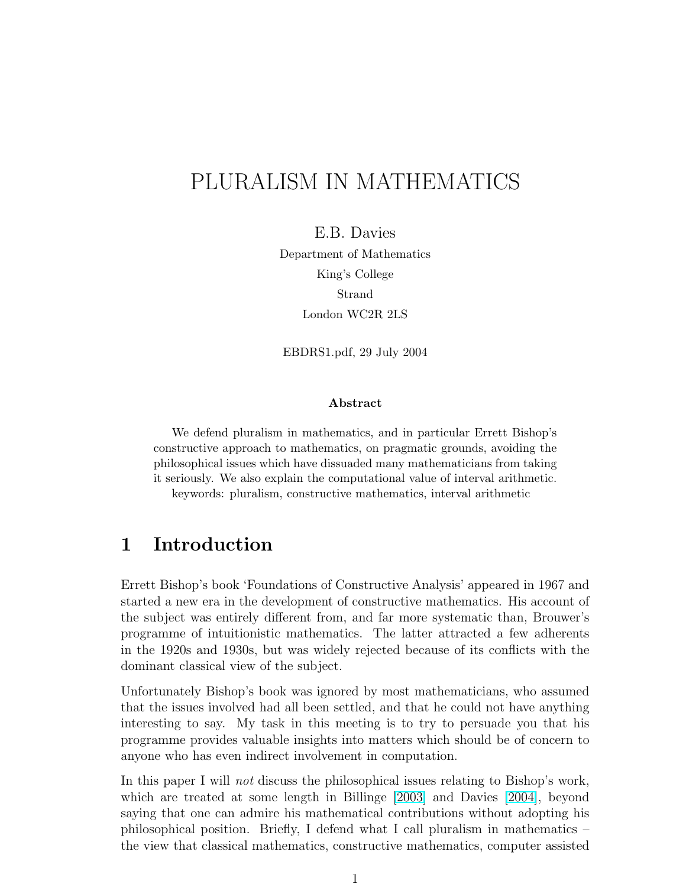# PLURALISM IN MATHEMATICS

E.B. Davies

Department of Mathematics King's College Strand London WC2R 2LS

EBDRS1.pdf, 29 July 2004

#### Abstract

We defend pluralism in mathematics, and in particular Errett Bishop's constructive approach to mathematics, on pragmatic grounds, avoiding the philosophical issues which have dissuaded many mathematicians from taking it seriously. We also explain the computational value of interval arithmetic. keywords: pluralism, constructive mathematics, interval arithmetic

# 1 Introduction

Errett Bishop's book 'Foundations of Constructive Analysis' appeared in 1967 and started a new era in the development of constructive mathematics. His account of the subject was entirely different from, and far more systematic than, Brouwer's programme of intuitionistic mathematics. The latter attracted a few adherents in the 1920s and 1930s, but was widely rejected because of its conflicts with the dominant classical view of the subject.

Unfortunately Bishop's book was ignored by most mathematicians, who assumed that the issues involved had all been settled, and that he could not have anything interesting to say. My task in this meeting is to try to persuade you that his programme provides valuable insights into matters which should be of concern to anyone who has even indirect involvement in computation.

In this paper I will not discuss the philosophical issues relating to Bishop's work, which are treated at some length in Billinge [\[2003\]](#page-9-0) and Davies [\[2004\]](#page-9-0), beyond saying that one can admire his mathematical contributions without adopting his philosophical position. Briefly, I defend what I call pluralism in mathematics – the view that classical mathematics, constructive mathematics, computer assisted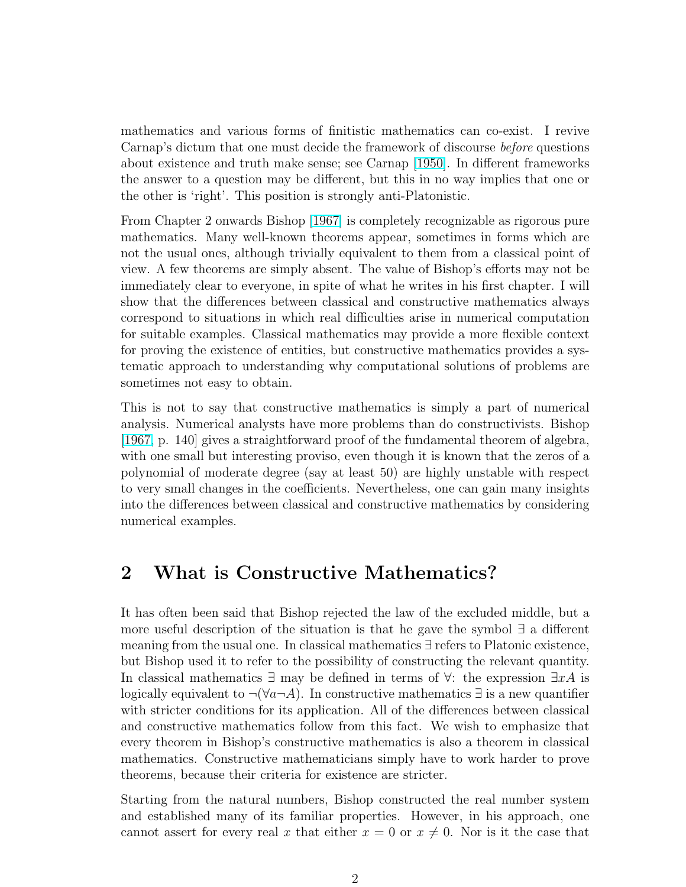mathematics and various forms of finitistic mathematics can co-exist. I revive Carnap's dictum that one must decide the framework of discourse before questions about existence and truth make sense; see Carnap [\[1950\]](#page-9-0). In different frameworks the answer to a question may be different, but this in no way implies that one or the other is 'right'. This position is strongly anti-Platonistic.

From Chapter 2 onwards Bishop [\[1967\]](#page-9-0) is completely recognizable as rigorous pure mathematics. Many well-known theorems appear, sometimes in forms which are not the usual ones, although trivially equivalent to them from a classical point of view. A few theorems are simply absent. The value of Bishop's efforts may not be immediately clear to everyone, in spite of what he writes in his first chapter. I will show that the differences between classical and constructive mathematics always correspond to situations in which real difficulties arise in numerical computation for suitable examples. Classical mathematics may provide a more flexible context for proving the existence of entities, but constructive mathematics provides a systematic approach to understanding why computational solutions of problems are sometimes not easy to obtain.

This is not to say that constructive mathematics is simply a part of numerical analysis. Numerical analysts have more problems than do constructivists. Bishop [\[1967,](#page-9-0) p. 140] gives a straightforward proof of the fundamental theorem of algebra, with one small but interesting proviso, even though it is known that the zeros of a polynomial of moderate degree (say at least 50) are highly unstable with respect to very small changes in the coefficients. Nevertheless, one can gain many insights into the differences between classical and constructive mathematics by considering numerical examples.

## 2 What is Constructive Mathematics?

It has often been said that Bishop rejected the law of the excluded middle, but a more useful description of the situation is that he gave the symbol ∃ a different meaning from the usual one. In classical mathematics ∃ refers to Platonic existence, but Bishop used it to refer to the possibility of constructing the relevant quantity. In classical mathematics  $\exists$  may be defined in terms of  $\forall$ : the expression  $\exists xA$  is logically equivalent to  $\neg(\forall a\neg A)$ . In constructive mathematics  $\exists$  is a new quantifier with stricter conditions for its application. All of the differences between classical and constructive mathematics follow from this fact. We wish to emphasize that every theorem in Bishop's constructive mathematics is also a theorem in classical mathematics. Constructive mathematicians simply have to work harder to prove theorems, because their criteria for existence are stricter.

Starting from the natural numbers, Bishop constructed the real number system and established many of its familiar properties. However, in his approach, one cannot assert for every real x that either  $x = 0$  or  $x \neq 0$ . Nor is it the case that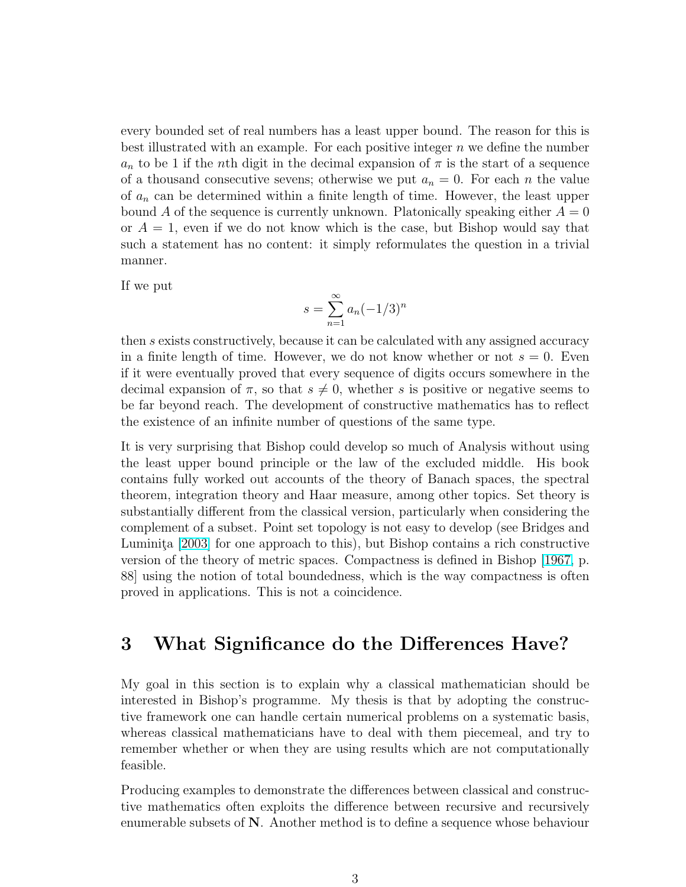every bounded set of real numbers has a least upper bound. The reason for this is best illustrated with an example. For each positive integer  $n$  we define the number  $a_n$  to be 1 if the nth digit in the decimal expansion of  $\pi$  is the start of a sequence of a thousand consecutive sevens; otherwise we put  $a_n = 0$ . For each n the value of  $a_n$  can be determined within a finite length of time. However, the least upper bound A of the sequence is currently unknown. Platonically speaking either  $A = 0$ or  $A = 1$ , even if we do not know which is the case, but Bishop would say that such a statement has no content: it simply reformulates the question in a trivial manner.

If we put

$$
s = \sum_{n=1}^{\infty} a_n (-1/3)^n
$$

then s exists constructively, because it can be calculated with any assigned accuracy in a finite length of time. However, we do not know whether or not  $s = 0$ . Even if it were eventually proved that every sequence of digits occurs somewhere in the decimal expansion of  $\pi$ , so that  $s \neq 0$ , whether s is positive or negative seems to be far beyond reach. The development of constructive mathematics has to reflect the existence of an infinite number of questions of the same type.

It is very surprising that Bishop could develop so much of Analysis without using the least upper bound principle or the law of the excluded middle. His book contains fully worked out accounts of the theory of Banach spaces, the spectral theorem, integration theory and Haar measure, among other topics. Set theory is substantially different from the classical version, particularly when considering the complement of a subset. Point set topology is not easy to develop (see Bridges and Luminita [\[2003\]](#page-9-0) for one approach to this), but Bishop contains a rich constructive version of the theory of metric spaces. Compactness is defined in Bishop [\[1967,](#page-9-0) p. 88] using the notion of total boundedness, which is the way compactness is often proved in applications. This is not a coincidence.

## 3 What Significance do the Differences Have?

My goal in this section is to explain why a classical mathematician should be interested in Bishop's programme. My thesis is that by adopting the constructive framework one can handle certain numerical problems on a systematic basis, whereas classical mathematicians have to deal with them piecemeal, and try to remember whether or when they are using results which are not computationally feasible.

Producing examples to demonstrate the differences between classical and constructive mathematics often exploits the difference between recursive and recursively enumerable subsets of  $N$ . Another method is to define a sequence whose behaviour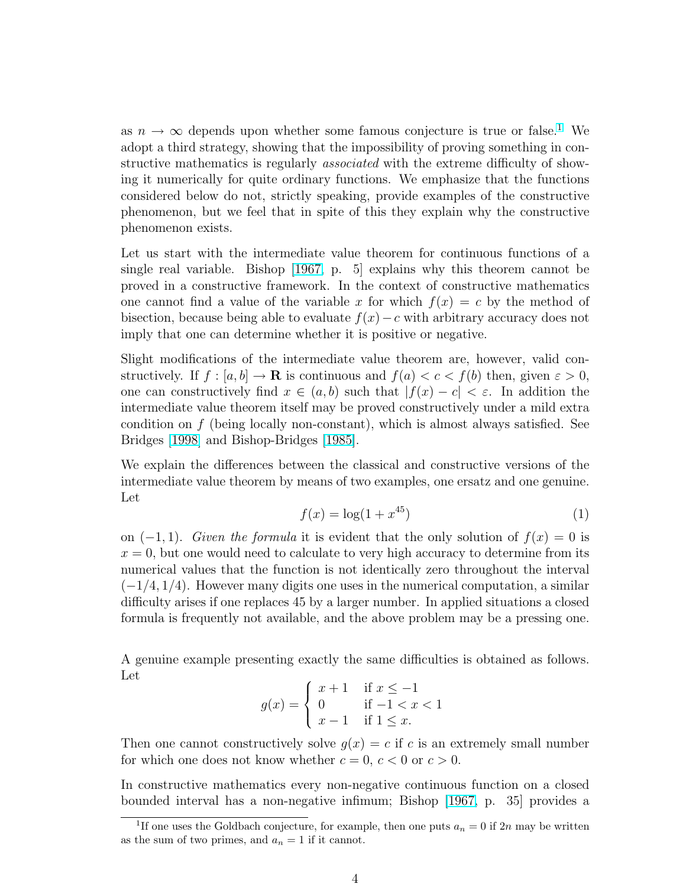<span id="page-3-0"></span>as  $n \to \infty$  depends upon whether some famous conjecture is true or false.<sup>1</sup> We adopt a third strategy, showing that the impossibility of proving something in constructive mathematics is regularly *associated* with the extreme difficulty of showing it numerically for quite ordinary functions. We emphasize that the functions considered below do not, strictly speaking, provide examples of the constructive phenomenon, but we feel that in spite of this they explain why the constructive phenomenon exists.

Let us start with the intermediate value theorem for continuous functions of a single real variable. Bishop [\[1967,](#page-9-0) p. 5] explains why this theorem cannot be proved in a constructive framework. In the context of constructive mathematics one cannot find a value of the variable x for which  $f(x) = c$  by the method of bisection, because being able to evaluate  $f(x) - c$  with arbitrary accuracy does not imply that one can determine whether it is positive or negative.

Slight modifications of the intermediate value theorem are, however, valid constructively. If  $f : [a, b] \to \mathbf{R}$  is continuous and  $f(a) < c < f(b)$  then, given  $\varepsilon > 0$ , one can constructively find  $x \in (a, b)$  such that  $|f(x) - c| < \varepsilon$ . In addition the intermediate value theorem itself may be proved constructively under a mild extra condition on f (being locally non-constant), which is almost always satisfied. See Bridges [\[1998\]](#page-9-0) and Bishop-Bridges [\[1985\]](#page-9-0).

We explain the differences between the classical and constructive versions of the intermediate value theorem by means of two examples, one ersatz and one genuine. Let

$$
f(x) = \log(1 + x^{45})
$$
 (1)

on  $(-1, 1)$ . Given the formula it is evident that the only solution of  $f(x) = 0$  is  $x = 0$ , but one would need to calculate to very high accuracy to determine from its numerical values that the function is not identically zero throughout the interval  $(-1/4, 1/4)$ . However many digits one uses in the numerical computation, a similar difficulty arises if one replaces 45 by a larger number. In applied situations a closed formula is frequently not available, and the above problem may be a pressing one.

A genuine example presenting exactly the same difficulties is obtained as follows. Let  $\overline{\phantom{a}}$ 

$$
g(x) = \begin{cases} x+1 & \text{if } x \le -1 \\ 0 & \text{if } -1 < x < 1 \\ x-1 & \text{if } 1 \le x. \end{cases}
$$

Then one cannot constructively solve  $q(x) = c$  if c is an extremely small number for which one does not know whether  $c = 0, c < 0$  or  $c > 0$ .

In constructive mathematics every non-negative continuous function on a closed bounded interval has a non-negative infimum; Bishop [\[1967,](#page-9-0) p. 35] provides a

<sup>&</sup>lt;sup>1</sup>If one uses the Goldbach conjecture, for example, then one puts  $a_n = 0$  if  $2n$  may be written as the sum of two primes, and  $a_n = 1$  if it cannot.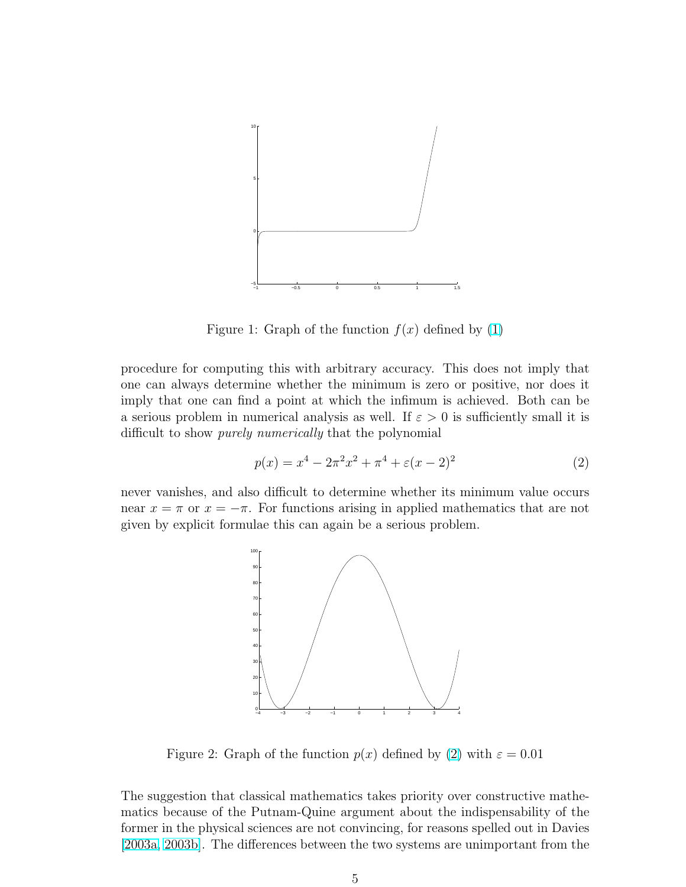

Figure 1: Graph of the function  $f(x)$  defined by [\(1\)](#page-3-0)

procedure for computing this with arbitrary accuracy. This does not imply that one can always determine whether the minimum is zero or positive, nor does it imply that one can find a point at which the infimum is achieved. Both can be a serious problem in numerical analysis as well. If  $\varepsilon > 0$  is sufficiently small it is difficult to show purely numerically that the polynomial

$$
p(x) = x^4 - 2\pi^2 x^2 + \pi^4 + \varepsilon (x - 2)^2
$$
 (2)

never vanishes, and also difficult to determine whether its minimum value occurs near  $x = \pi$  or  $x = -\pi$ . For functions arising in applied mathematics that are not given by explicit formulae this can again be a serious problem.



Figure 2: Graph of the function  $p(x)$  defined by (2) with  $\varepsilon = 0.01$ 

The suggestion that classical mathematics takes priority over constructive mathematics because of the Putnam-Quine argument about the indispensability of the former in the physical sciences are not convincing, for reasons spelled out in Davies [\[2003a,](#page-9-0) [2003b\]](#page-9-0). The differences between the two systems are unimportant from the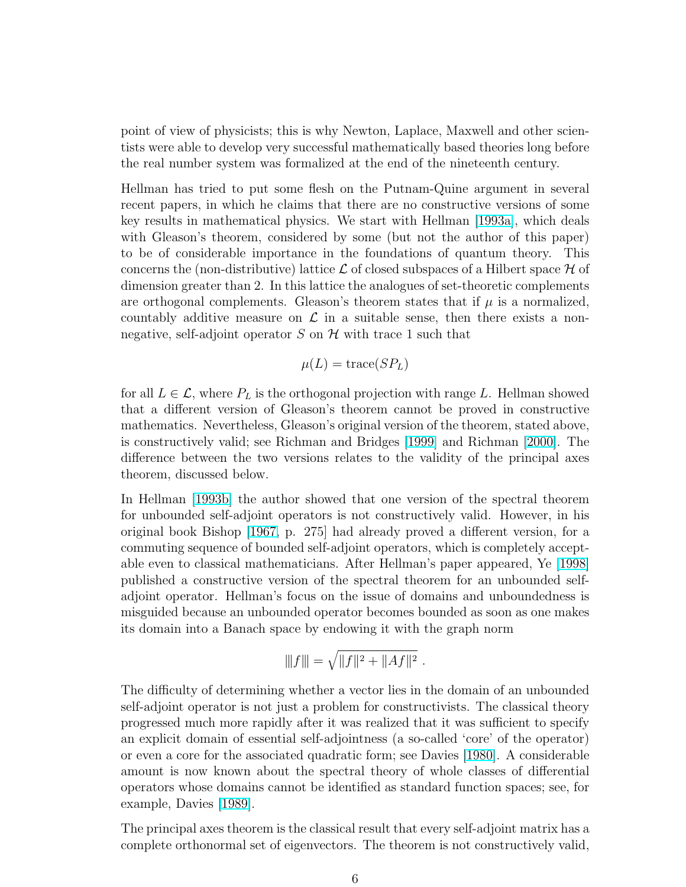point of view of physicists; this is why Newton, Laplace, Maxwell and other scientists were able to develop very successful mathematically based theories long before the real number system was formalized at the end of the nineteenth century.

Hellman has tried to put some flesh on the Putnam-Quine argument in several recent papers, in which he claims that there are no constructive versions of some key results in mathematical physics. We start with Hellman [\[1993a\]](#page-9-0), which deals with Gleason's theorem, considered by some (but not the author of this paper) to be of considerable importance in the foundations of quantum theory. This concerns the (non-distributive) lattice  $\mathcal L$  of closed subspaces of a Hilbert space  $\mathcal H$  of dimension greater than 2. In this lattice the analogues of set-theoretic complements are orthogonal complements. Gleason's theorem states that if  $\mu$  is a normalized, countably additive measure on  $\mathcal L$  in a suitable sense, then there exists a nonnegative, self-adjoint operator S on H with trace 1 such that

$$
\mu(L) = \text{trace}(SP_L)
$$

for all  $L \in \mathcal{L}$ , where  $P_L$  is the orthogonal projection with range L. Hellman showed that a different version of Gleason's theorem cannot be proved in constructive mathematics. Nevertheless, Gleason's original version of the theorem, stated above, is constructively valid; see Richman and Bridges [\[1999\]](#page-10-0) and Richman [\[2000\]](#page-10-0). The difference between the two versions relates to the validity of the principal axes theorem, discussed below.

In Hellman [\[1993b\]](#page-9-0) the author showed that one version of the spectral theorem for unbounded self-adjoint operators is not constructively valid. However, in his original book Bishop [\[1967,](#page-9-0) p. 275] had already proved a different version, for a commuting sequence of bounded self-adjoint operators, which is completely acceptable even to classical mathematicians. After Hellman's paper appeared, Ye [\[1998\]](#page-10-0) published a constructive version of the spectral theorem for an unbounded selfadjoint operator. Hellman's focus on the issue of domains and unboundedness is misguided because an unbounded operator becomes bounded as soon as one makes its domain into a Banach space by endowing it with the graph norm

$$
|||f||| = \sqrt{||f||^2 + ||Af||^2}.
$$

The difficulty of determining whether a vector lies in the domain of an unbounded self-adjoint operator is not just a problem for constructivists. The classical theory progressed much more rapidly after it was realized that it was sufficient to specify an explicit domain of essential self-adjointness (a so-called 'core' of the operator) or even a core for the associated quadratic form; see Davies [\[1980\]](#page-9-0). A considerable amount is now known about the spectral theory of whole classes of differential operators whose domains cannot be identified as standard function spaces; see, for example, Davies [\[1989\]](#page-9-0).

The principal axes theorem is the classical result that every self-adjoint matrix has a complete orthonormal set of eigenvectors. The theorem is not constructively valid,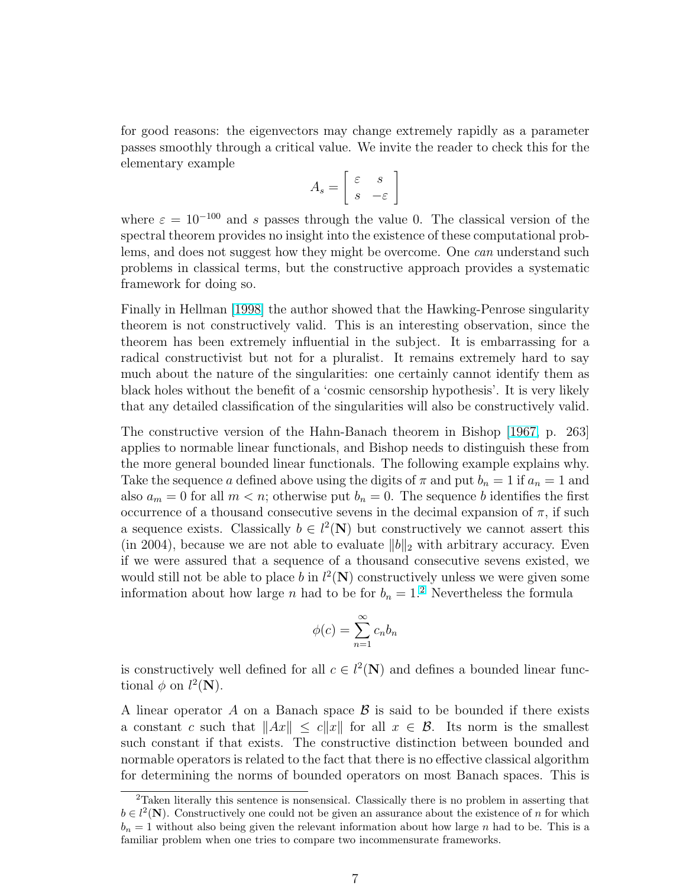for good reasons: the eigenvectors may change extremely rapidly as a parameter passes smoothly through a critical value. We invite the reader to check this for the elementary example .<br> $\overline{r}$ #

$$
A_s = \left[ \begin{array}{cc} \varepsilon & s \\ s & -\varepsilon \end{array} \right]
$$

where  $\varepsilon = 10^{-100}$  and s passes through the value 0. The classical version of the spectral theorem provides no insight into the existence of these computational problems, and does not suggest how they might be overcome. One can understand such problems in classical terms, but the constructive approach provides a systematic framework for doing so.

Finally in Hellman [\[1998\]](#page-9-0) the author showed that the Hawking-Penrose singularity theorem is not constructively valid. This is an interesting observation, since the theorem has been extremely influential in the subject. It is embarrassing for a radical constructivist but not for a pluralist. It remains extremely hard to say much about the nature of the singularities: one certainly cannot identify them as black holes without the benefit of a 'cosmic censorship hypothesis'. It is very likely that any detailed classification of the singularities will also be constructively valid.

The constructive version of the Hahn-Banach theorem in Bishop [\[1967,](#page-9-0) p. 263] applies to normable linear functionals, and Bishop needs to distinguish these from the more general bounded linear functionals. The following example explains why. Take the sequence a defined above using the digits of  $\pi$  and put  $b_n = 1$  if  $a_n = 1$  and also  $a_m = 0$  for all  $m < n$ ; otherwise put  $b_n = 0$ . The sequence b identifies the first occurrence of a thousand consecutive sevens in the decimal expansion of  $\pi$ , if such a sequence exists. Classically  $b \in l^2(\mathbf{N})$  but constructively we cannot assert this (in 2004), because we are not able to evaluate  $||b||_2$  with arbitrary accuracy. Even if we were assured that a sequence of a thousand consecutive sevens existed, we would still not be able to place b in  $l^2(\mathbf{N})$  constructively unless we were given some information about how large n had to be for  $b_n = 1$ .<sup>2</sup> Nevertheless the formula

$$
\phi(c) = \sum_{n=1}^{\infty} c_n b_n
$$

is constructively well defined for all  $c \in l^2(\mathbb{N})$  and defines a bounded linear functional  $\phi$  on  $l^2(\mathbf{N})$ .

A linear operator A on a Banach space  $\beta$  is said to be bounded if there exists a constant c such that  $||Ax|| \leq c||x||$  for all  $x \in \mathcal{B}$ . Its norm is the smallest such constant if that exists. The constructive distinction between bounded and normable operators is related to the fact that there is no effective classical algorithm for determining the norms of bounded operators on most Banach spaces. This is

 ${}^{2}$ Taken literally this sentence is nonsensical. Classically there is no problem in asserting that  $b \in l^2(\mathbf{N})$ . Constructively one could not be given an assurance about the existence of n for which  $b_n = 1$  without also being given the relevant information about how large n had to be. This is a familiar problem when one tries to compare two incommensurate frameworks.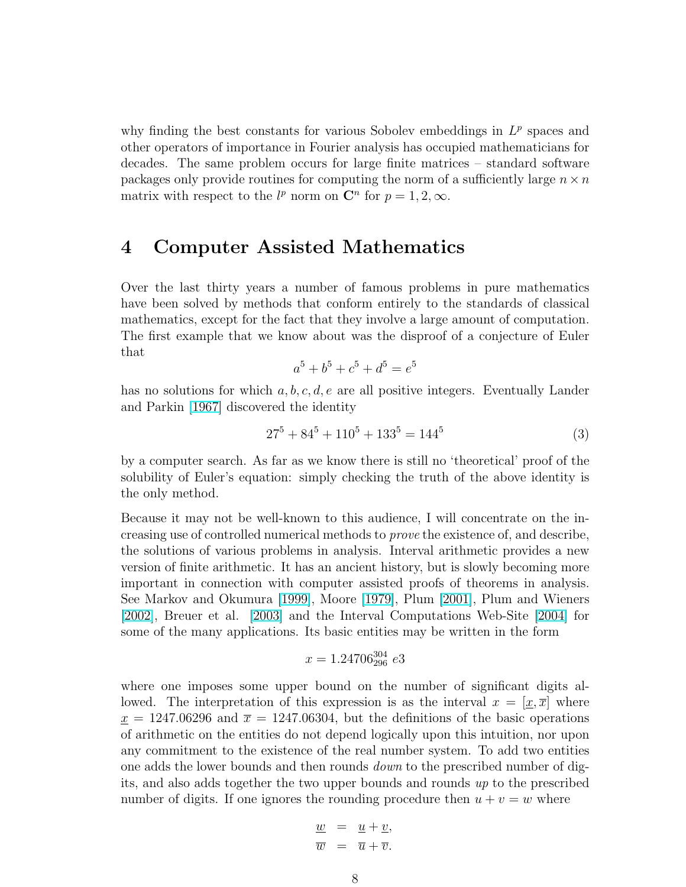why finding the best constants for various Sobolev embeddings in  $L^p$  spaces and other operators of importance in Fourier analysis has occupied mathematicians for decades. The same problem occurs for large finite matrices – standard software packages only provide routines for computing the norm of a sufficiently large  $n \times n$ matrix with respect to the  $l^p$  norm on  $\mathbb{C}^n$  for  $p = 1, 2, \infty$ .

#### 4 Computer Assisted Mathematics

Over the last thirty years a number of famous problems in pure mathematics have been solved by methods that conform entirely to the standards of classical mathematics, except for the fact that they involve a large amount of computation. The first example that we know about was the disproof of a conjecture of Euler that

$$
a^5 + b^5 + c^5 + d^5 = e^5
$$

has no solutions for which  $a, b, c, d, e$  are all positive integers. Eventually Lander and Parkin [\[1967\]](#page-10-0) discovered the identity

$$
27^5 + 84^5 + 110^5 + 133^5 = 144^5 \tag{3}
$$

by a computer search. As far as we know there is still no 'theoretical' proof of the solubility of Euler's equation: simply checking the truth of the above identity is the only method.

Because it may not be well-known to this audience, I will concentrate on the increasing use of controlled numerical methods to prove the existence of, and describe, the solutions of various problems in analysis. Interval arithmetic provides a new version of finite arithmetic. It has an ancient history, but is slowly becoming more important in connection with computer assisted proofs of theorems in analysis. See Markov and Okumura [\[1999\]](#page-10-0), Moore [\[1979\]](#page-10-0), Plum [\[2001\]](#page-10-0), Plum and Wieners [\[2002\]](#page-10-0), Breuer et al. [\[2003\]](#page-9-0) and the Interval Computations Web-Site [\[2004\]](#page-9-0) for some of the many applications. Its basic entities may be written in the form

$$
x = 1.24706_{296}^{304} e3
$$

where one imposes some upper bound on the number of significant digits allowed. The interpretation of this expression is as the interval  $x = [\underline{x}, \overline{x}]$  where  $x = 1247.06296$  and  $\bar{x} = 1247.06304$ , but the definitions of the basic operations of arithmetic on the entities do not depend logically upon this intuition, nor upon any commitment to the existence of the real number system. To add two entities one adds the lower bounds and then rounds down to the prescribed number of digits, and also adds together the two upper bounds and rounds up to the prescribed number of digits. If one ignores the rounding procedure then  $u + v = w$  where

$$
\frac{w}{\overline{w}} = \frac{u + v}{\overline{u} + \overline{v}}.
$$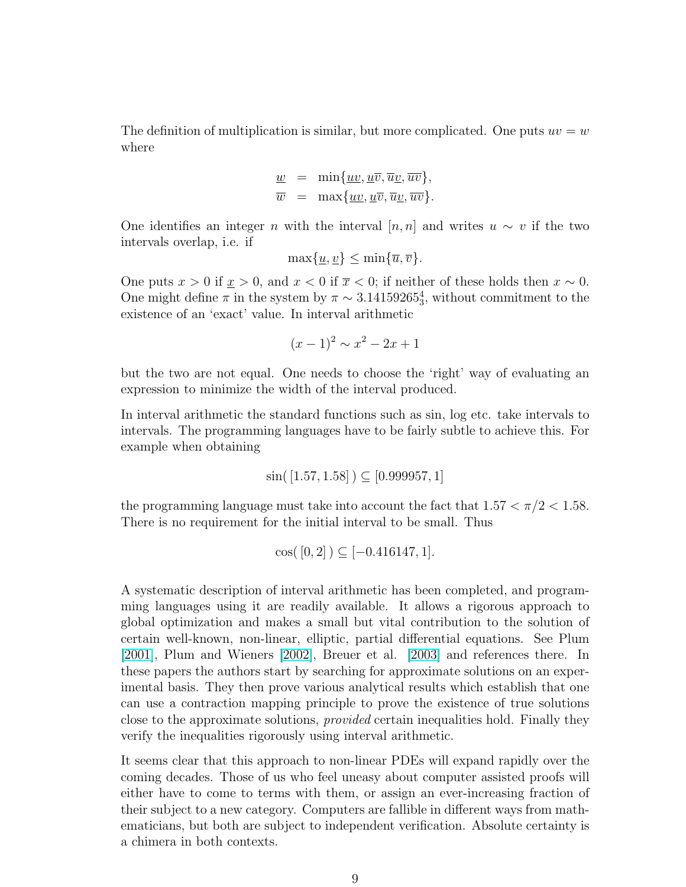The definition of multiplication is similar, but more complicated. One puts  $uv = w$ where

$$
\underline{w} = \min\{\underline{uv}, \underline{u}\overline{v}, \overline{u}\underline{v}, \overline{w}\},
$$
  

$$
\overline{w} = \max\{\underline{uv}, \underline{u}\overline{v}, \overline{u}\underline{v}, \overline{w}\}.
$$

One identifies an integer n with the interval  $[n, n]$  and writes  $u \sim v$  if the two intervals overlap, i.e. if

$$
\max\{\underline{u},\underline{v}\} \le \min\{\overline{u},\overline{v}\}.
$$

One puts  $x > 0$  if  $\underline{x} > 0$ , and  $x < 0$  if  $\overline{x} < 0$ ; if neither of these holds then  $x \sim 0$ . One might define  $\pi$  in the system by  $\pi \sim 3.14159265_3^4$ , without commitment to the existence of an 'exact' value. In interval arithmetic

$$
(x-1)^2 \sim x^2 - 2x + 1
$$

but the two are not equal. One needs to choose the 'right' way of evaluating an expression to minimize the width of the interval produced.

In interval arithmetic the standard functions such as sin, log etc. take intervals to intervals. The programming languages have to be fairly subtle to achieve this. For example when obtaining

$$
\sin([1.57, 1.58]) \subseteq [0.999957, 1]
$$

the programming language must take into account the fact that  $1.57 < \pi/2 < 1.58$ . There is no requirement for the initial interval to be small. Thus

$$
\cos([0,2]) \subseteq [-0.416147, 1].
$$

A systematic description of interval arithmetic has been completed, and programming languages using it are readily available. It allows a rigorous approach to global optimization and makes a small but vital contribution to the solution of certain well-known, non-linear, elliptic, partial differential equations. See Plum [\[2001\]](#page-10-0), Plum and Wieners [\[2002\]](#page-10-0), Breuer et al. [\[2003\]](#page-9-0) and references there. In these papers the authors start by searching for approximate solutions on an experimental basis. They then prove various analytical results which establish that one can use a contraction mapping principle to prove the existence of true solutions close to the approximate solutions, provided certain inequalities hold. Finally they verify the inequalities rigorously using interval arithmetic.

It seems clear that this approach to non-linear PDEs will expand rapidly over the coming decades. Those of us who feel uneasy about computer assisted proofs will either have to come to terms with them, or assign an ever-increasing fraction of their subject to a new category. Computers are fallible in different ways from mathematicians, but both are subject to independent verification. Absolute certainty is a chimera in both contexts.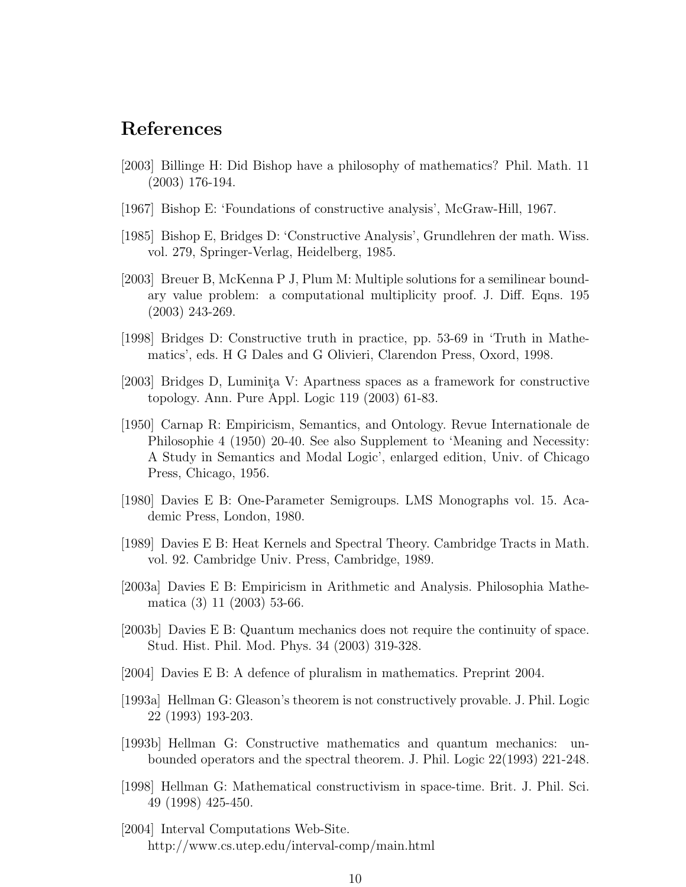#### <span id="page-9-0"></span>References

- [2003] Billinge H: Did Bishop have a philosophy of mathematics? Phil. Math. 11 (2003) 176-194.
- [1967] Bishop E: 'Foundations of constructive analysis', McGraw-Hill, 1967.
- [1985] Bishop E, Bridges D: 'Constructive Analysis', Grundlehren der math. Wiss. vol. 279, Springer-Verlag, Heidelberg, 1985.
- [2003] Breuer B, McKenna P J, Plum M: Multiple solutions for a semilinear boundary value problem: a computational multiplicity proof. J. Diff. Eqns. 195 (2003) 243-269.
- [1998] Bridges D: Constructive truth in practice, pp. 53-69 in 'Truth in Mathematics', eds. H G Dales and G Olivieri, Clarendon Press, Oxord, 1998.
- [2003] Bridges D, Luminita V: Apartness spaces as a framework for constructive topology. Ann. Pure Appl. Logic 119 (2003) 61-83.
- [1950] Carnap R: Empiricism, Semantics, and Ontology. Revue Internationale de Philosophie 4 (1950) 20-40. See also Supplement to 'Meaning and Necessity: A Study in Semantics and Modal Logic', enlarged edition, Univ. of Chicago Press, Chicago, 1956.
- [1980] Davies E B: One-Parameter Semigroups. LMS Monographs vol. 15. Academic Press, London, 1980.
- [1989] Davies E B: Heat Kernels and Spectral Theory. Cambridge Tracts in Math. vol. 92. Cambridge Univ. Press, Cambridge, 1989.
- [2003a] Davies E B: Empiricism in Arithmetic and Analysis. Philosophia Mathematica (3) 11 (2003) 53-66.
- [2003b] Davies E B: Quantum mechanics does not require the continuity of space. Stud. Hist. Phil. Mod. Phys. 34 (2003) 319-328.
- [2004] Davies E B: A defence of pluralism in mathematics. Preprint 2004.
- [1993a] Hellman G: Gleason's theorem is not constructively provable. J. Phil. Logic 22 (1993) 193-203.
- [1993b] Hellman G: Constructive mathematics and quantum mechanics: unbounded operators and the spectral theorem. J. Phil. Logic 22(1993) 221-248.
- [1998] Hellman G: Mathematical constructivism in space-time. Brit. J. Phil. Sci. 49 (1998) 425-450.
- [2004] Interval Computations Web-Site. http://www.cs.utep.edu/interval-comp/main.html